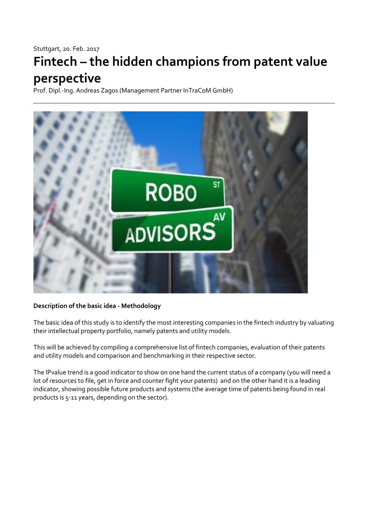## Stuttgart, 20. Feb. 2017

# **Fintech – the hidden champions from patent value perspective**

Prof. Dipl.-Ing. Andreas Zagos (Management Partner InTraCoM GmbH)



# **Description of the basic idea - Methodology**

The basic idea of this study is to identify the most interesting companies in the fintech industry by valuating their intellectual property portfolio, namely patents and utility models.

This will be achieved by compiling a comprehensive list of fintech companies, evaluation of their patents and utility models and comparison and benchmarking in their respective sector.

The IPvalue trend is a good indicator to show on one hand the current status of a company (you will need a lot of resources to file, get in force and counter fight your patents) and on the other hand it is a leading indicator, showing possible future products and systems (the average time of patents being found in real products is 5-11 years, depending on the sector).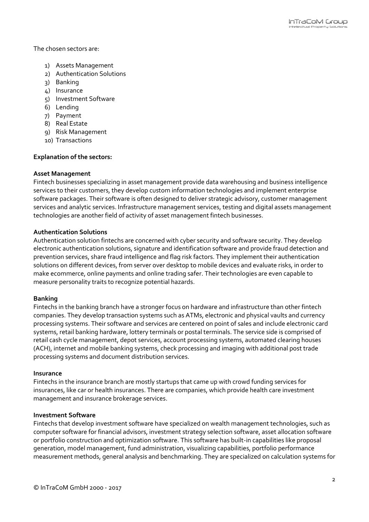The chosen sectors are:

- 1) Assets Management
- 2) Authentication Solutions
- 3) Banking
- 4) Insurance
- 5) Investment Software
- 6) Lending
- 7) Payment
- 8) Real Estate
- 9) Risk Management
- 10) Transactions

### **Explanation of the sectors:**

#### **Asset Management**

Fintech businesses specializing in asset management provide data warehousing and business intelligence services to their customers, they develop custom information technologies and implement enterprise software packages. Their software is often designed to deliver strategic advisory, customer management services and analytic services. Infrastructure management services, testing and digital assets management technologies are another field of activity of asset management fintech businesses.

### **Authentication Solutions**

Authentication solution fintechs are concerned with cyber security and software security. They develop electronic authentication solutions, signature and identification software and provide fraud detection and prevention services, share fraud intelligence and flag risk factors. They implement their authentication solutions on different devices, from server over desktop to mobile devices and evaluate risks, in order to make ecommerce, online payments and online trading safer. Their technologies are even capable to measure personality traits to recognize potential hazards.

#### **Banking**

Fintechs in the banking branch have a stronger focus on hardware and infrastructure than other fintech companies. They develop transaction systems such as ATMs, electronic and physical vaults and currency processing systems. Their software and services are centered on point of sales and include electronic card systems, retail banking hardware, lottery terminals or postal terminals. The service side is comprised of retail cash cycle management, depot services, account processing systems, automated clearing houses (ACH), internet and mobile banking systems, check processing and imaging with additional post trade processing systems and document distribution services.

#### **Insurance**

Fintechs in the insurance branch are mostly startups that came up with crowd funding services for insurances, like car or health insurances. There are companies, which provide health care investment management and insurance brokerage services.

#### **Investment Software**

Fintechs that develop investment software have specialized on wealth management technologies, such as computer software for financial advisors, investment strategy selection software, asset allocation software or portfolio construction and optimization software. This software has built-in capabilities like proposal generation, model management, fund administration, visualizing capabilities, portfolio performance measurement methods, general analysis and benchmarking. They are specialized on calculation systems for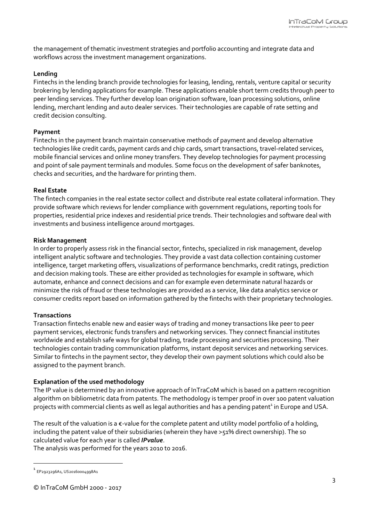the management of thematic investment strategies and portfolio accounting and integrate data and workflows across the investment management organizations.

## **Lending**

Fintechs in the lending branch provide technologies for leasing, lending, rentals, venture capital or security brokering by lending applications for example. These applications enable short term credits through peer to peer lending services. They further develop loan origination software, loan processing solutions, online lending, merchant lending and auto dealer services. Their technologies are capable of rate setting and credit decision consulting.

## **Payment**

Fintechs in the payment branch maintain conservative methods of payment and develop alternative technologies like credit cards, payment cards and chip cards, smart transactions, travel-related services, mobile financial services and online money transfers. They develop technologies for payment processing and point of sale payment terminals and modules. Some focus on the development of safer banknotes, checks and securities, and the hardware for printing them.

## **Real Estate**

The fintech companies in the real estate sector collect and distribute real estate collateral information. They provide software which reviews for lender compliance with government regulations, reporting tools for properties, residential price indexes and residential price trends. Their technologies and software deal with investments and business intelligence around mortgages.

## **Risk Management**

In order to properly assess risk in the financial sector, fintechs, specialized in risk management, develop intelligent analytic software and technologies. They provide a vast data collection containing customer intelligence, target marketing offers, visualizations of performance benchmarks, credit ratings, prediction and decision making tools. These are either provided as technologies for example in software, which automate, enhance and connect decisions and can for example even determinate natural hazards or minimize the risk of fraud or these technologies are provided as a service, like data analytics service or consumer credits report based on information gathered by the fintechs with their proprietary technologies.

## **Transactions**

Transaction fintechs enable new and easier ways of trading and money transactions like peer to peer payment services, electronic funds transfers and networking services. They connect financial institutes worldwide and establish safe ways for global trading, trade processing and securities processing. Their technologies contain trading communication platforms, instant deposit services and networking services. Similar to fintechs in the payment sector, they develop their own payment solutions which could also be assigned to the payment branch.

## **Explanation of the used methodology**

The IP value is determined by an innovative approach of InTraCoM which is based on a pattern recognition algorithm on bibliometric data from patents. The methodology is temper proof in over 100 patent valuation projects with commercial clients as well as legal authorities and has a pending patent<sup>1</sup> in Europe and USA.

The result of the valuation is a  $\epsilon$ -value for the complete patent and utility model portfolio of a holding, including the patent value of their subsidiaries (wherein they have >51% direct ownership). The so calculated value for each year is called *IPvalue*.

The analysis was performed for the years 2010 t0 2016.

1

<sup>1</sup> EP2923296A1, US20160004998A1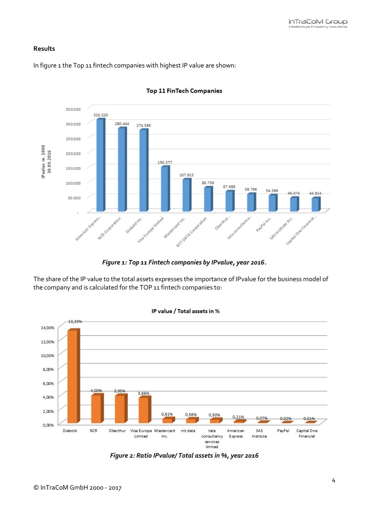## **Results**

In figure 1 the Top 11 fintech companies with highest IP value are shown:



#### **Top 11 FinTech Companies**

*Figure 1: Top 11 Fintech companies by IPvalue, year 2016.*

The share of the IP value to the total assets expresses the importance of IPvalue for the business model of the company and is calculated for the TOP 11 fintech companies to:



*Figure 2: Ratio IPvalue/ Total assets in %, year 2016*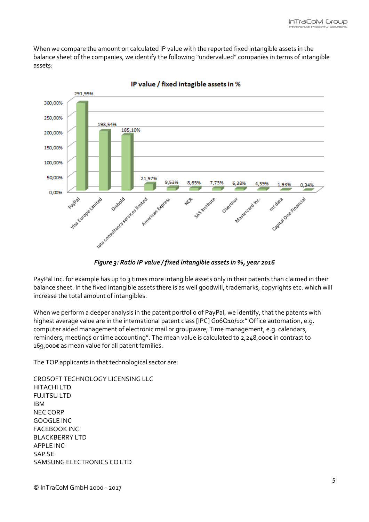When we compare the amount on calculated IP value with the reported fixed intangible assets in the balance sheet of the companies, we identify the following "undervalued" companies in terms of intangible assets:



IP value / fixed intagible assets in %

*Figure 3: Ratio IP value / fixed intangible assets in %, year 2016*

PayPal Inc. for example has up to 3 times more intangible assets only in their patents than claimed in their balance sheet. In the fixed intangible assets there is as well goodwill, trademarks, copyrights etc. which will increase the total amount of intangibles.

When we perform a deeper analysis in the patent portfolio of PayPal, we identify, that the patents with highest average value are in the international patent class [IPC] Go6Q10/10:" Office automation, e.g. computer aided management of electronic mail or groupware; Time management, e.g. calendars, reminders, meetings or time accounting". The mean value is calculated to 2,248,000€ in contrast to 169,000€ as mean value for all patent families.

The TOP applicants in that technological sector are:

CROSOFT TECHNOLOGY LICENSING LLC HITACHI LTD FUJITSU LTD IBM NEC CORP GOOGLE INC FACEBOOK INC BLACKBERRY LTD APPLE INC SAP SE SAMSUNG ELECTRONICS CO LTD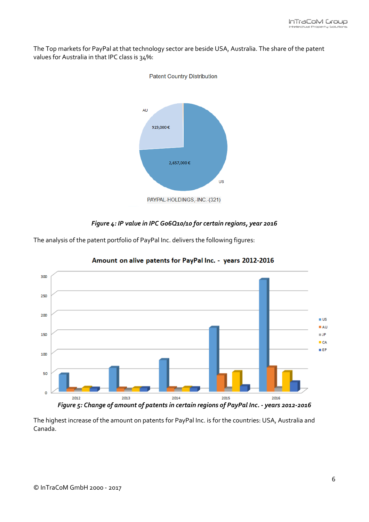The Top markets for PayPal at that technology sector are beside USA, Australia. The share of the patent values for Australia in that IPC class is 34%:



## **Patent Country Distribution**

# *Figure 4: IP value in IPC G06Q10/10 for certain regions, year 2016*

The analysis of the patent portfolio of PayPal Inc. delivers the following figures:



Amount on alive patents for PayPal Inc. - years 2012-2016

The highest increase of the amount on patents for PayPal Inc. is for the countries: USA, Australia and Canada.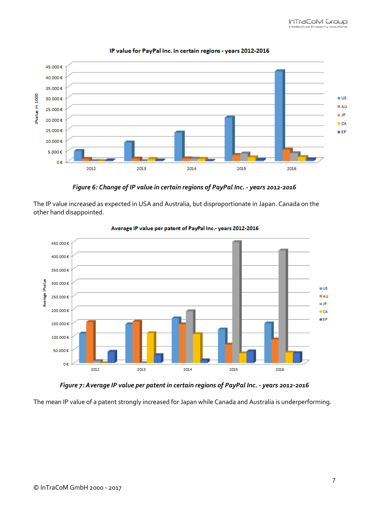

#### IP value for PayPal Inc. in certain regions - years 2012-2016

*Figure 6: Change of IP value in certain regions of PayPal Inc. - years 2012-2016*

The IP value increased as expected in USA and Australia, but disproportionate in Japan. Canada on the other hand disappointed.



#### Average IP value per patent of PayPal Inc.- years 2012-2016

*Figure 7: Average IP value per patent in certain regions of PayPal Inc. - years 2012-2016*

The mean IP value of a patent strongly increased for Japan while Canada and Australia is underperforming.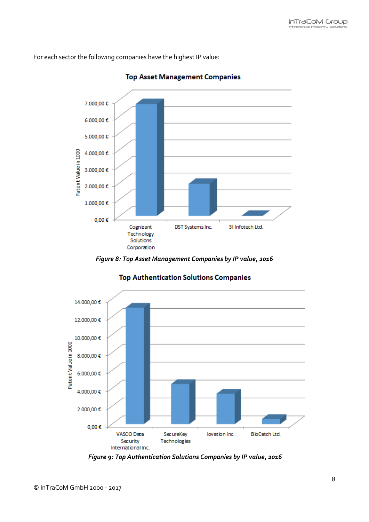For each sector the following companies have the highest IP value:



**Top Asset Management Companies** 





# **Top Authentication Solutions Companies**

*Figure 9: Top Authentication Solutions Companies by IP value, 2016*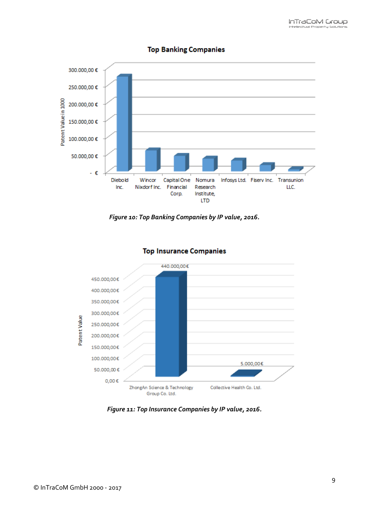

## **Top Banking Companies**





# **Top Insurance Companies**

*Figure 11: Top Insurance Companies by IP value, 2016.*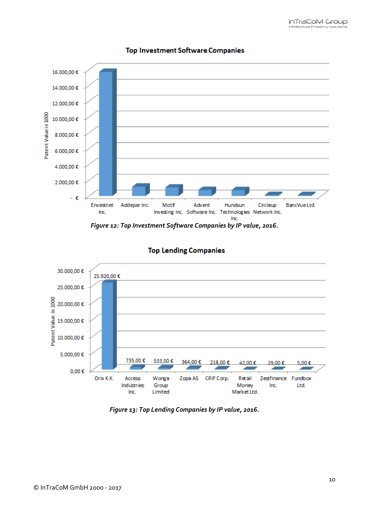

## **Top Investment Software Companies**

*Figure 12: Top Investment Software Companies by IP value, 2016.*



# **Top Lending Companies**

*Figure 13: Top Lending Companies by IP value, 2016.*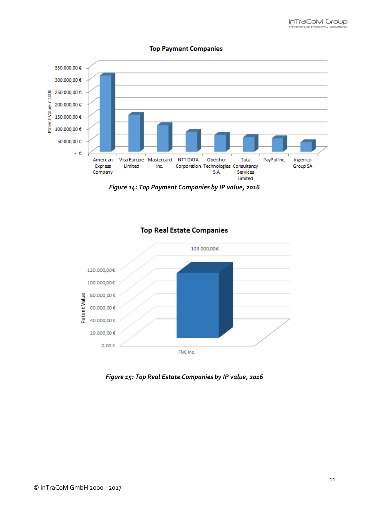

#### **Top Payment Companies**

*Figure 14: Top Payment Companies by IP value, 2016*



# **Top Real Estate Companies**

*Figure 15: Top Real Estate Companies by IP value, 2016*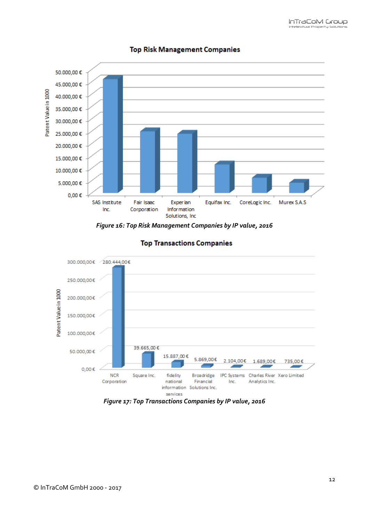

## **Top Risk Management Companies**





# **Top Transactions Companies**

## *Figure 17: Top Transactions Companies by IP value, 2016*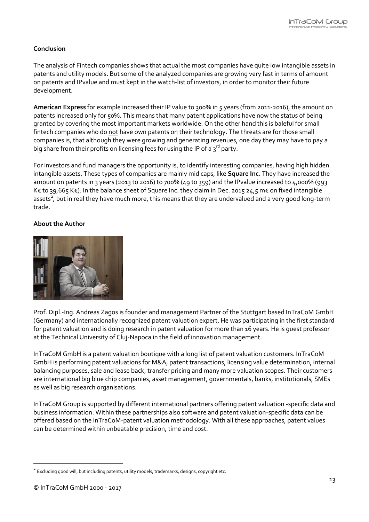# **Conclusion**

The analysis of Fintech companies shows that actual the most companies have quite low intangible assets in patents and utility models. But some of the analyzed companies are growing very fast in terms of amount on patents and IPvalue and must kept in the watch-list of investors, in order to monitor their future development.

**American Express** for example increased their IP value to 300% in 5 years (from 2011-2016), the amount on patents increased only for 50%. This means that many patent applications have now the status of being granted by covering the most important markets worldwide. On the other hand this is baleful for small fintech companies who do not have own patents on their technology. The threats are for those small companies is, that although they were growing and generating revenues, one day they may have to pay a big share from their profits on licensing fees for using the IP of a  $3^{rd}$  party.

For investors and fund managers the opportunity is, to identify interesting companies, having high hidden intangible assets. These types of companies are mainly mid caps, like **Square Inc**. They have increased the amount on patents in 3 years (2013 to 2016) to 700% (49 to 359) and the IPvalue increased to 4,000% (993 K€ to 39,665 K€). In the balance sheet of Square Inc. they claim in Dec. 2015 24,5 m€ on fixed intangible assets<sup>2</sup>, but in real they have much more, this means that they are undervalued and a very good long-term trade.

## **About the Author**



Prof. Dipl.-Ing. Andreas Zagos is founder and management Partner of the Stuttgart based InTraCoM GmbH (Germany) and internationally recognized patent valuation expert. He was participating in the first standard for patent valuation and is doing research in patent valuation for more than 16 years. He is guest professor at the Technical University of Cluj-Napoca in the field of innovation management.

InTraCoM GmbH is a patent valuation boutique with a long list of patent valuation customers. InTraCoM GmbH is performing patent valuations for M&A, patent transactions, licensing value determination, internal balancing purposes, sale and lease back, transfer pricing and many more valuation scopes. Their customers are international big blue chip companies, asset management, governmentals, banks, institutionals, SMEs as well as big research organisations.

InTraCoM Group is supported by different international partners offering patent valuation -specific data and business information. Within these partnerships also software and patent valuation-specific data can be offered based on the InTraCoM-patent valuation methodology. With all these approaches, patent values can be determined within unbeatable precision, time and cost.

1

<sup>&</sup>lt;sup>2</sup> Excluding good will, but including patents, utility models, trademarks, designs, copyright etc.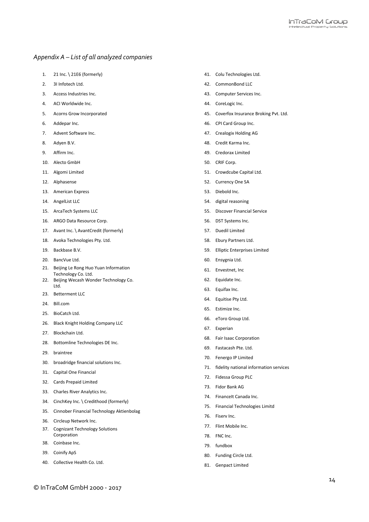#### *Appendix A – List of all analyzed companies*

- 1. 21 Inc. \ 21Ε6 (formerly)
- 2. 3I Infotech Ltd.
- 3. Access Industries Inc.
- 4. ACI Worldwide Inc.
- 5. Acorns Grow Incorporated
- 6. Addepar Inc.
- 7. Advent Software Inc.
- 8. Adyen B.V.
- 9. Affirm Inc.
- 10. Alecto GmbH
- 11. Algomi Limited
- 12. Alphasense
- 13. American Express
- 14. AngelList LLC
- 15. ArcaTech Systems LLC
- 16. ARGO Data Resource Corp.
- 17. Avant Inc. \ AvantCredit (formerly)
- 18. Avoka Technologies Pty. Ltd.
- 19. Backbase B.V.
- 20. BancVue Ltd.
- 21. Beijing Le Rong Huo Yuan Information Technology Co. Ltd.
- 22. Beijing Wecash Wonder Technology Co. Ltd.
- 23. Betterment LLC
- 24. Bill.com
- 25. BioCatch Ltd.
- 26. Black Knight Holding Company LLC
- 27. Blockchain Ltd.
- 28. Bottomline Technologies DE Inc.
- 29. braintree
- 30. broadridge financial solutions Inc.
- 31. Capital One Financial
- 32. Cards Prepaid Limited
- 33. Charles River Analytics Inc.
- 34. CinchKey Inc. \ Credithood (formerly)
- 35. Cinnober Financial Technology Aktienbolag
- 36. Circleup Network Inc.
- 37. Cognizant Technology Solutions Corporation
- 38. Coinbase Inc.
- 39. Coinify ApS
- 40. Collective Health Co. Ltd.
- 41. Colu Technologies Ltd.
- 42. CommonBond LLC
- 43. Computer Services Inc.
- 44. CoreLogic Inc.
- 45. Coverfox Insurance Broking Pvt. Ltd.
- 46. CPI Card Group Inc.
- 47. Crealogix Holding AG
- 48. Credit Karma Inc.
- 49. Credorax Limited
- 50. CRIF Corp.
- 51. Crowdcube Capital Ltd.
- 52. Currency One SA
- 53. Diebold Inc.
- 54. digital reasoning
- 55. Discover Financial Service
- 56. DST Systems Inc.
- 57. Duedil Limited
- 58. Ebury Partners Ltd.
- 59. Elliptic Enterprises Limited
- 60. Ensygnia Ltd.
- 61. Envestnet, Inc
- 62. Equidate Inc.
- 63. Equifax Inc.
- 64. Equitise Pty Ltd.
- 65. Estimize Inc.
- 66. eToro Group Ltd.
- 67. Experian
- 68. Fair Isaac Corporation
- 69. Fastacash Pte. Ltd.
- 70. Fenergo IP Limited
- 71. fidelity national information services
- 72. Fidessa Group PLC
- 73. Fidor Bank AG
- 74. Financelt Canada Inc.
- 75. Financial Technologies Limitd
- 76. Fiserv Inc.
- 77. Flint Mobile Inc.
- 78. FNC Inc.
- 79. fundbox
- 80. Funding Circle Ltd.
- 81. Genpact Limited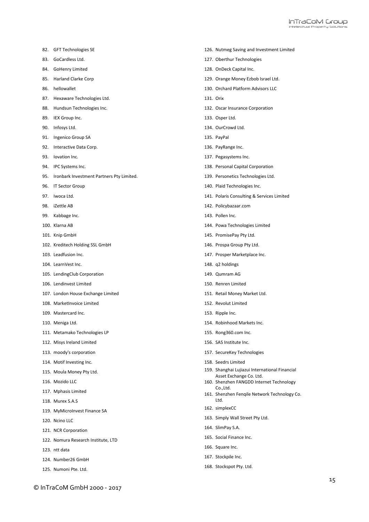- 82. GFT Technologies SE
- 83. GoCardless Ltd.
- 84. GoHenry Limited
- 85. Harland Clarke Corp
- 86. hellowallet
- 87. Hexaware Technologies Ltd.
- 88. Hundsun Technologies Inc.
- 89. IEX Group Inc.
- 90. Infosys Ltd.
- 91. Ingenico Group SA
- 92. Interactive Data Corp.
- 93. Iovation Inc.
- 94. IPC Systems Inc.
- 95. Ironbark Investment Partners Pty Limited.
- 96. IT Sector Group
- 97. Iwoca Ltd.
- 98. iZettle AB
- 99. Kabbage Inc.
- 100. Klarna AB
- 101. Knip GmbH
- 102. Kreditech Holding SSL GmbH
- 103. Leadfusion Inc.
- 104. LearnVest Inc.
- 105. LendingClub Corporation
- 106. Lendinvest Limited
- 107. London House Exchange Limited
- 108. MarketInvoice Limited
- 109. Mastercard Inc.
- 110. Meniga Ltd.
- 111. Metamako Technologies LP
- 112. Misys Ireland Limited
- 113. moody's corporation
- 114. Motif Investing Inc.
- 115. Moula Money Pty Ltd.
- 116. Mozido LLC
- 117. Mphasis Limited
- 118. Murex S.A.S
- 119. MyMicroInvest Finance SA
- 120. Ncino LLC
- 121. NCR Corporation
- 122. Nomura Research Institute, LTD
- 123. ntt data
- 124. Number26 GmbH
- 125. Numoni Pte. Ltd.
- 126. Nutmeg Saving and Investment Limited
- 127. Oberthur Technologies
- 128. OnDeck Capital Inc.
- 129. Orange Money Ezbob Israel Ltd.
- 130. Orchard Platform Advisors LLC
- 131. Orix
- 132. Oscar Insurance Corporation
- 133. Osper Ltd.
- 134. OurCrowd Ltd.
- 135. PayPal
- 136. PayRange Inc.
- 137. Pegasystems Inc.
- 138. Personal Capital Corporation
- 139. Personetics Technologies Ltd.
- 140. Plaid Technologies Inc.
- 141. Polaris Consulting & Services Limited
- 142. Policybazaar.com
- 143. Pollen Inc.
- 144. Powa Technologies Limited
- 145. PromisePay Pty Ltd.
- 146. Prospa Group Pty Ltd.
- 147. Prosper Marketplace Inc.
- 148. q2 holdings
- 149. Qumram AG
- 150. Renren Limited
- 151. Retail Money Market Ltd.
- 152. Revolut Limited
- 153. Ripple Inc.
- 154. Robinhood Markets Inc.
- 155. Rong360.com Inc.
- 156. SAS Institute Inc.
- 157. SecureKey Technologies
- 158. Seedrs Limited
- 159. Shanghai Lujiazui International Financial Asset Exchange Co. Ltd.
- 160. Shenzhen FANGDD Internet Technology Co.,Ltd.
- 161. Shenzhen Fenqile Network Technology Co. Ltd.
- 162. simplexCC
- 163. Simply Wall Street Pty Ltd.
- 164. SlimPay S.A.
- 165. Social Finance Inc.
- 166. Square Inc.
- 167. Stockpile Inc.
- 168. Stockspot Pty. Ltd.